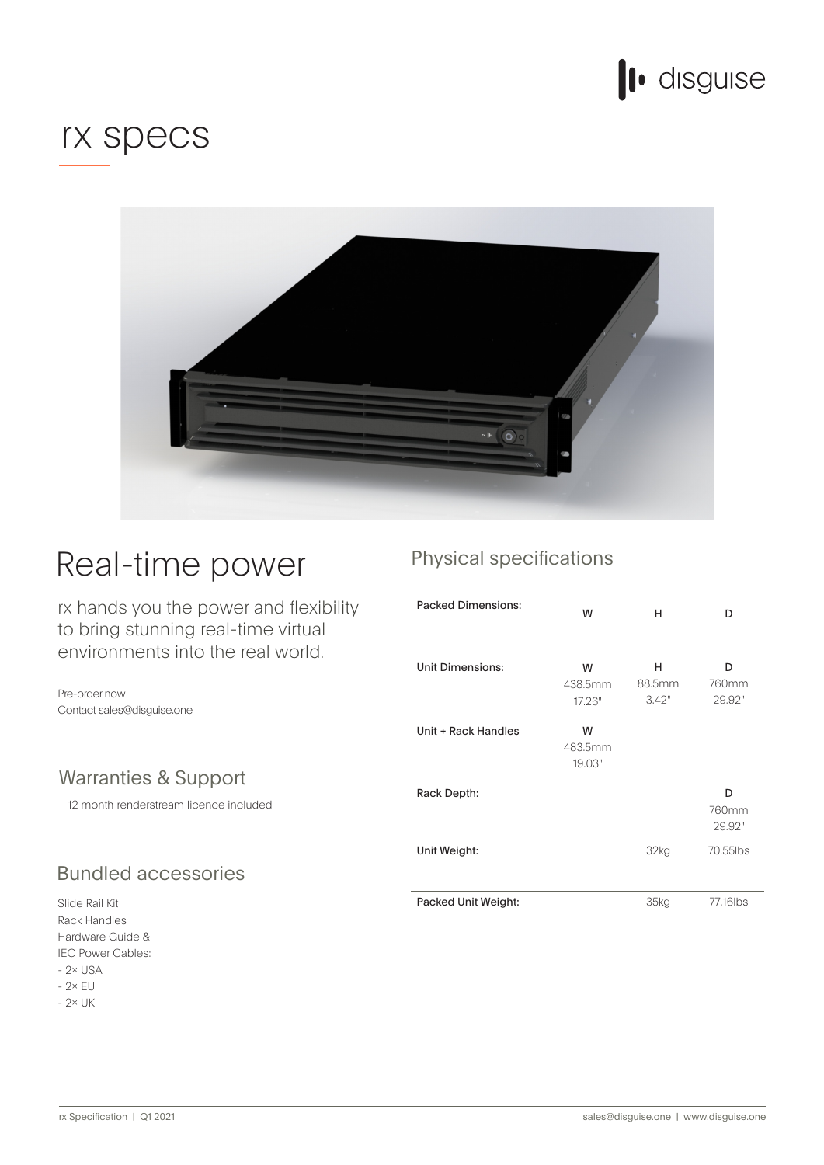

# rx specs



# Real-time power

rx hands you the power and flexibility to bring stunning real-time virtual environments into the real world.

Pre-order now Contact sales@disguise.one

### Warranties & Support

- 12 month renderstream licence included

## **Bundled accessories**

Slide Rail Kit Rack Handles & Guide Hardware IEC Power Cables:  $-2 \times$  USA  $-2\times$  EU  $-2 \times UK$ 

### Physical specifications

| <b>Packed Dimensions:</b> | W       | н                | D        |
|---------------------------|---------|------------------|----------|
|                           |         |                  |          |
| <b>Unit Dimensions:</b>   | W       | н                | D        |
|                           | 438.5mm | 88.5mm           | 760mm    |
|                           | 17.26"  | 3.42"            | 29.92"   |
| Unit + Rack Handles       | W       |                  |          |
|                           | 483.5mm |                  |          |
|                           | 19.03"  |                  |          |
| Rack Depth:               |         |                  | D        |
|                           |         |                  | 760mm    |
|                           |         |                  | 29.92"   |
| Unit Weight:              |         | 32 <sub>kg</sub> | 70.55lbs |
|                           |         |                  |          |
| Packed Unit Weight:       |         | 35kg             | 77.16lbs |